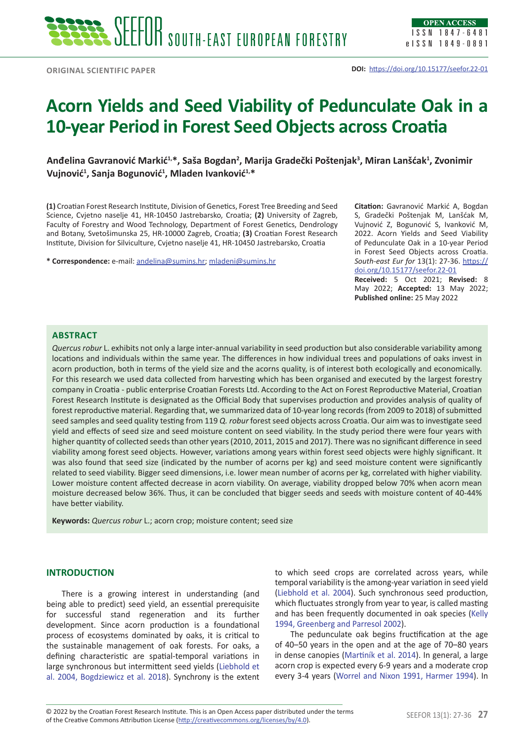# **Acorn Yields and Seed Viability of Pedunculate Oak in a 10-year Period in Forest Seed Objects across Croatia**

**Anđelina Gavranović Markić1,\*, Saša Bogdan<sup>2</sup> , Marija Gradečki Poštenjak<sup>3</sup> , Miran Lanšćak<sup>1</sup> , Zvonimir Vujnović<sup>1</sup> , Sanja Bogunović<sup>1</sup> , Mladen Ivanković1,\***

**(1)** Croatian Forest Research Institute, Division of Genetics, Forest Tree Breeding and Seed Science, Cvjetno naselje 41, HR-10450 Jastrebarsko, Croatia; **(2)** University of Zagreb, Faculty of Forestry and Wood Technology, Department of Forest Genetics, Dendrology and Botany, Svetošimunska 25, HR-10000 Zagreb, Croatia; **(3)** Croatian Forest Research Institute, Division for Silviculture, Cvjetno naselje 41, HR-10450 Jastrebarsko, Croatia

**\* Correspondence:** e-mail: [andelina@sumins.hr](mailto:andelina@sumins.hr); [mladeni@sumins.hr](mailto:mladeni@sumins.hr)

**Citation:** Gavranović Markić A, Bogdan S, Gradečki Poštenjak M, Lanšćak M, Vujnović Z, Bogunović S, Ivanković M, 2022. Acorn Yields and Seed Viability of Pedunculate Oak in a 10-year Period in Forest Seed Objects across Croatia. *South-east Eur for* 13(1): 27-36. [https://](https://doi.org/10.15177/seefor.22-01) [doi.org/10.15177/seefor.22-01](https://doi.org/10.15177/seefor.22-01) **Received:** 5 Oct 2021; **Revised:** 8 May 2022; **Accepted:** 13 May 2022; **Published online:** 25 May 2022

# **Abstract**

*Quercus robur* L. exhibits not only a large inter-annual variability in seed production but also considerable variability among locations and individuals within the same year. The differences in how individual trees and populations of oaks invest in acorn production, both in terms of the yield size and the acorns quality, is of interest both ecologically and economically. For this research we used data collected from harvesting which has been organised and executed by the largest forestry company in Croatia - public enterprise Croatian Forests Ltd. According to the Act on Forest Reproductive Material, Croatian Forest Research Institute is designated as the Official Body that supervises production and provides analysis of quality of forest reproductive material. Regarding that, we summarized data of 10-year long records (from 2009 to 2018) of submitted seed samples and seed quality testing from 119 *Q. robur* forest seed objects across Croatia. Our aim was to investigate seed yield and effects of seed size and seed moisture content on seed viability. In the study period there were four years with higher quantity of collected seeds than other years (2010, 2011, 2015 and 2017). There was no significant difference in seed viability among forest seed objects. However, variations among years within forest seed objects were highly significant. It was also found that seed size (indicated by the number of acorns per kg) and seed moisture content were significantly related to seed viability. Bigger seed dimensions, i.e. lower mean number of acorns per kg, correlated with higher viability. Lower moisture content affected decrease in acorn viability. On average, viability dropped below 70% when acorn mean moisture decreased below 36%. Thus, it can be concluded that bigger seeds and seeds with moisture content of 40-44% have better viability.

**Keywords:** *Quercus robur* L.; acorn crop; moisture content; seed size

### **INTRODUCTION**

There is a growing interest in understanding (and being able to predict) seed yield, an essential prerequisite for successful stand regeneration and its further development. Since acorn production is a foundational process of ecosystems dominated by oaks, it is critical to the sustainable management of oak forests. For oaks, a defining characteristic are spatial-temporal variations in large synchronous but intermittent seed yields (Liebhold et al. 2004, Bogdziewicz et al. 2018). Synchrony is the extent to which seed crops are correlated across years, while temporal variability is the among-year variation in seed yield (Liebhold et al. 2004). Such synchronous seed production, which fluctuates strongly from year to year, is called masting and has been frequently documented in oak species (Kelly 1994, Greenberg and Parresol 2002).

The pedunculate oak begins fructification at the age of 40–50 years in the open and at the age of 70–80 years in dense canopies (Martiník et al. 2014). In general, a large acorn crop is expected every 6-9 years and a moderate crop every 3-4 years (Worrel and Nixon 1991, Harmer 1994). In

© 2022 by the Croatian Forest Research Institute. This is an Open Access paper distributed under the terms<br>of the Creative Commons Attribution License (<u><http://creativecommons.org/licenses/by/4.0></u>). © 2022 by the Croatian Forest Research Institute. This is an Open Access paper distributed under the terms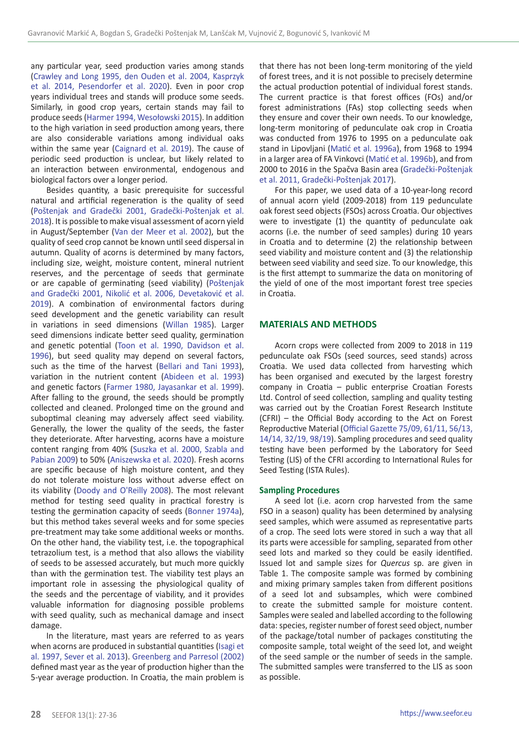any particular year, seed production varies among stands (Crawley and Long 1995, den Ouden et al. 2004, Kasprzyk et al. 2014, Pesendorfer et al. 2020). Even in poor crop years individual trees and stands will produce some seeds. Similarly, in good crop years, certain stands may fail to produce seeds (Harmer 1994, Wesołowski 2015). In addition to the high variation in seed production among years, there are also considerable variations among individual oaks within the same year (Caignard et al. 2019). The cause of periodic seed production is unclear, but likely related to an interaction between environmental, endogenous and biological factors over a longer period.

Besides quantity, a basic prerequisite for successful natural and artificial regeneration is the quality of seed (Poštenjak and Gradečki 2001, Gradečki-Poštenjak et al. 2018). It is possible to make visual assessment of acorn yield in August/September (Van der Meer et al. 2002), but the quality of seed crop cannot be known until seed dispersal in autumn. Quality of acorns is determined by many factors, including size, weight, moisture content, mineral nutrient reserves, and the percentage of seeds that germinate or are capable of germinating (seed viability) (Poštenjak and Gradečki 2001, Nikolić et al. 2006, Devetaković et al. 2019). A combination of environmental factors during seed development and the genetic variability can result in variations in seed dimensions (Willan 1985). Larger seed dimensions indicate better seed quality, germination and genetic potential (Toon et al. 1990, Davidson et al. 1996), but seed quality may depend on several factors, such as the time of the harvest (Bellari and Tani 1993), variation in the nutrient content (Abideen et al. 1993) and genetic factors (Farmer 1980, Jayasankar et al. 1999). After falling to the ground, the seeds should be promptly collected and cleaned. Prolonged time on the ground and suboptimal cleaning may adversely affect seed viability. Generally, the lower the quality of the seeds, the faster they deteriorate. After harvesting, acorns have a moisture content ranging from 40% (Suszka et al. 2000, Szabla and Pabian 2009) to 50% (Aniszewska et al. 2020). Fresh acorns are specific because of high moisture content, and they do not tolerate moisture loss without adverse effect on its viability (Doody and O'Reilly 2008). The most relevant method for testing seed quality in practical forestry is testing the germination capacity of seeds (Bonner 1974a), but this method takes several weeks and for some species pre-treatment may take some additional weeks or months. On the other hand, the viability test, i.e. the topographical tetrazolium test, is a method that also allows the viability of seeds to be assessed accurately, but much more quickly than with the germination test. The viability test plays an important role in assessing the physiological quality of the seeds and the percentage of viability, and it provides valuable information for diagnosing possible problems with seed quality, such as mechanical damage and insect damage.

In the literature, mast years are referred to as years when acorns are produced in substantial quantities (Isagi et al. 1997, Sever et al. 2013). Greenberg and Parresol (2002) defined mast year as the year of production higher than the 5-year average production. In Croatia, the main problem is that there has not been long-term monitoring of the yield of forest trees, and it is not possible to precisely determine the actual production potential of individual forest stands. The current practice is that forest offices (FOs) and/or forest administrations (FAs) stop collecting seeds when they ensure and cover their own needs. To our knowledge, long-term monitoring of pedunculate oak crop in Croatia was conducted from 1976 to 1995 on a pedunculate oak stand in Lipovljani (Matić et al. 1996a), from 1968 to 1994 in a larger area of FA Vinkovci (Matić et al. 1996b), and from 2000 to 2016 in the Spačva Basin area (Gradečki-Poštenjak et al. 2011, Gradečki-Poštenjak 2017).

For this paper, we used data of a 10-year-long record of annual acorn yield (2009-2018) from 119 pedunculate oak forest seed objects (FSOs) across Croatia. Our objectives were to investigate (1) the quantity of pedunculate oak acorns (i.e. the number of seed samples) during 10 years in Croatia and to determine (2) the relationship between seed viability and moisture content and (3) the relationship between seed viability and seed size. To our knowledge, this is the first attempt to summarize the data on monitoring of the yield of one of the most important forest tree species in Croatia.

### **MATERIALS AND METHODS**

Acorn crops were collected from 2009 to 2018 in 119 pedunculate oak FSOs (seed sources, seed stands) across Croatia. We used data collected from harvesting which has been organised and executed by the largest forestry company in Croatia – public enterprise Croatian Forests Ltd. Control of seed collection, sampling and quality testing was carried out by the Croatian Forest Research Institute (CFRI) – the Official Body according to the Act on Forest Reproductive Material (Official Gazette 75/09, 61/11, 56/13, 14/14, 32/19, 98/19). Sampling procedures and seed quality testing have been performed by the Laboratory for Seed Testing (LIS) of the CFRI according to International Rules for Seed Testing (ISTA Rules).

### **Sampling Procedures**

A seed lot (i.e. acorn crop harvested from the same FSO in a season) quality has been determined by analysing seed samples, which were assumed as representative parts of a crop. The seed lots were stored in such a way that all its parts were accessible for sampling, separated from other seed lots and marked so they could be easily identified. Issued lot and sample sizes for *Quercus* sp. are given in Table 1. The composite sample was formed by combining and mixing primary samples taken from different positions of a seed lot and subsamples, which were combined to create the submitted sample for moisture content. Samples were sealed and labelled according to the following data: species, register number of forest seed object, number of the package/total number of packages constituting the composite sample, total weight of the seed lot, and weight of the seed sample or the number of seeds in the sample. The submitted samples were transferred to the LIS as soon as possible.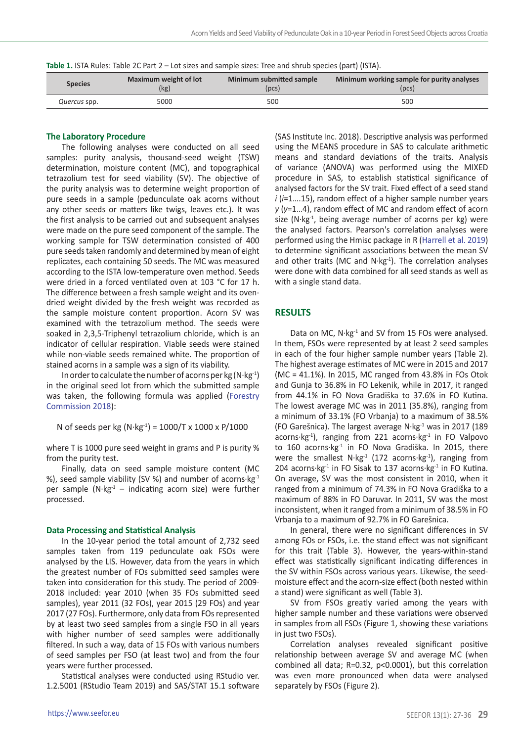| Table 1. ISTA Rules: Table 2C Part 2 – Lot sizes and sample sizes: Tree and shrub species (part) (ISTA). |  |
|----------------------------------------------------------------------------------------------------------|--|
|----------------------------------------------------------------------------------------------------------|--|

| <b>Species</b> | Maximum weight of lot | Minimum submitted sample | Minimum working sample for purity analyses |  |  |  |
|----------------|-----------------------|--------------------------|--------------------------------------------|--|--|--|
|                | (kg)                  | [DCS]                    | (pcs)                                      |  |  |  |
| Quercus spp.   | 5000                  | 500                      | 500                                        |  |  |  |

# **The Laboratory Procedure**

The following analyses were conducted on all seed samples: purity analysis, thousand-seed weight (TSW) determination, moisture content (MC), and topographical tetrazolium test for seed viability (SV). The objective of the purity analysis was to determine weight proportion of pure seeds in a sample (pedunculate oak acorns without any other seeds or matters like twigs, leaves etc.). It was the first analysis to be carried out and subsequent analyses were made on the pure seed component of the sample. The working sample for TSW determination consisted of 400 pure seeds taken randomly and determined by mean of eight replicates, each containing 50 seeds. The MC was measured according to the ISTA low-temperature oven method. Seeds were dried in a forced ventilated oven at 103 °C for 17 h. The difference between a fresh sample weight and its ovendried weight divided by the fresh weight was recorded as the sample moisture content proportion. Acorn SV was examined with the tetrazolium method. The seeds were soaked in 2,3,5-Triphenyl tetrazolium chloride, which is an indicator of cellular respiration. Viable seeds were stained while non-viable seeds remained white. The proportion of stained acorns in a sample was a sign of its viability.

In order to calculate the number of acorns per kg ( $N \cdot kg^{-1}$ ) in the original seed lot from which the submitted sample was taken, the following formula was applied (Forestry Commission 2018):

N of seeds per kg (N·kg<sup>-1</sup>) = 1000/T x 1000 x P/1000

where T is 1000 pure seed weight in grams and P is purity % from the purity test.

Finally, data on seed sample moisture content (MC %), seed sample viability (SV %) and number of acorns $\cdot$ kg $^{-1}$ per sample  $(N \cdot kg^{-1} -$  indicating acorn size) were further processed.

### **Data Processing and Statistical Analysis**

In the 10-year period the total amount of 2,732 seed samples taken from 119 pedunculate oak FSOs were analysed by the LIS. However, data from the years in which the greatest number of FOs submitted seed samples were taken into consideration for this study. The period of 2009- 2018 included: year 2010 (when 35 FOs submitted seed samples), year 2011 (32 FOs), year 2015 (29 FOs) and year 2017 (27 FOs). Furthermore, only data from FOs represented by at least two seed samples from a single FSO in all years with higher number of seed samples were additionally filtered. In such a way, data of 15 FOs with various numbers of seed samples per FSO (at least two) and from the four years were further processed.

Statistical analyses were conducted using RStudio ver. 1.2.5001 (RStudio Team 2019) and SAS/STAT 15.1 software

(SAS Institute Inc. 2018). Descriptive analysis was performed using the MEANS procedure in SAS to calculate arithmetic means and standard deviations of the traits. Analysis of variance (ANOVA) was performed using the MIXED procedure in SAS, to establish statistical significance of analysed factors for the SV trait. Fixed effect of a seed stand *i* (*i*=1….15), random effect of a higher sample number years *y* (*y*=1…4), random effect of MC and random effect of acorn size  $(N \cdot kg^{-1})$ , being average number of acorns per kg) were the analysed factors. Pearson's correlation analyses were performed using the Hmisc package in R (Harrell et al. 2019) to determine significant associations between the mean SV and other traits (MC and  $N \cdot kg^{-1}$ ). The correlation analyses were done with data combined for all seed stands as well as with a single stand data.

## **RESULTS**

Data on MC,  $N \cdot kg^{-1}$  and SV from 15 FOs were analysed. In them, FSOs were represented by at least 2 seed samples in each of the four higher sample number years (Table 2). The highest average estimates of MC were in 2015 and 2017 (MC = 41.1%). In 2015, MC ranged from 43.8% in FOs Otok and Gunja to 36.8% in FO Lekenik, while in 2017, it ranged from 44.1% in FO Nova Gradiška to 37.6% in FO Kutina. The lowest average MC was in 2011 (35.8%), ranging from a minimum of 33.1% (FO Vrbanja) to a maximum of 38.5% (FO Garešnica). The largest average  $N \cdot kg^{-1}$  was in 2017 (189 acorns·kg<sup>-1</sup>), ranging from 221 acorns·kg<sup>-1</sup> in FO Valpovo to 160 acorns·kg<sup>-1</sup> in FO Nova Gradiška. In 2015, there were the smallest  $N \cdot kg^{-1}$  (172 acorns $\cdot kg^{-1}$ ), ranging from 204 acorns $\cdot$ kg<sup>-1</sup> in FO Sisak to 137 acorns $\cdot$ kg<sup>-1</sup> in FO Kutina. On average, SV was the most consistent in 2010, when it ranged from a minimum of 74.3% in FO Nova Gradiška to a maximum of 88% in FO Daruvar. In 2011, SV was the most inconsistent, when it ranged from a minimum of 38.5% in FO Vrbanja to a maximum of 92.7% in FO Garešnica.

In general, there were no significant differences in SV among FOs or FSOs, i.e. the stand effect was not significant for this trait (Table 3). However, the years-within-stand effect was statistically significant indicating differences in the SV within FSOs across various years. Likewise, the seedmoisture effect and the acorn-size effect (both nested within a stand) were significant as well (Table 3).

SV from FSOs greatly varied among the years with higher sample number and these variations were observed in samples from all FSOs (Figure 1, showing these variations in just two FSOs).

Correlation analyses revealed significant positive relationship between average SV and average MC (when combined all data; R=0.32, p<0.0001), but this correlation was even more pronounced when data were analysed separately by FSOs (Figure 2).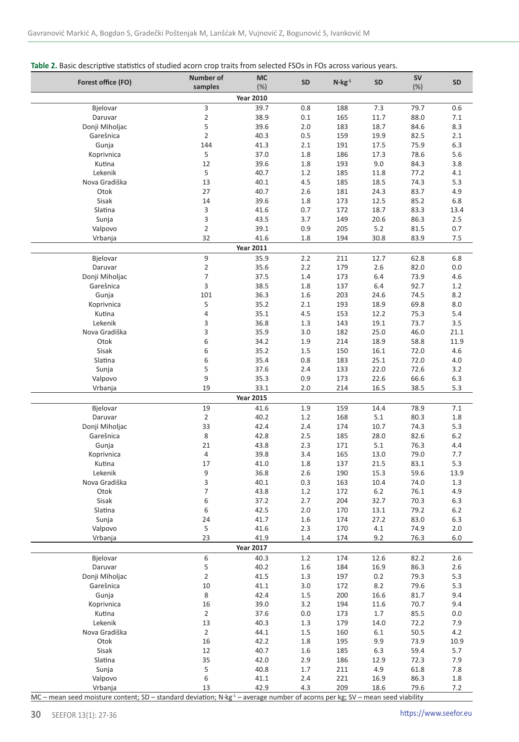# **Table 2.** Basic descriptive statistics of studied acorn crop traits from selected FSOs in FOs across various years.

| Forest office (FO)          | <b>Number of</b> | MC                       | <b>SD</b>  | $N$ · $kg^{-1}$ | <b>SD</b>    | SV           | SD          |
|-----------------------------|------------------|--------------------------|------------|-----------------|--------------|--------------|-------------|
|                             | samples          | (%)                      |            |                 |              | (%)          |             |
|                             | 3                | <b>Year 2010</b>         |            |                 |              |              |             |
| Bjelovar<br>Daruvar         | $\overline{2}$   | 39.7<br>38.9             | 0.8<br>0.1 | 188<br>165      | 7.3<br>11.7  | 79.7<br>88.0 | 0.6<br>7.1  |
| Donji Miholjac              | 5                | 39.6                     | 2.0        | 183             | 18.7         | 84.6         | 8.3         |
| Garešnica                   | $\overline{2}$   | 40.3                     | 0.5        | 159             | 19.9         | 82.5         | 2.1         |
| Gunja                       | 144              | 41.3                     | 2.1        | 191             | 17.5         | 75.9         | 6.3         |
| Koprivnica                  | 5                | 37.0                     | 1.8        | 186             | 17.3         | 78.6         | 5.6         |
| Kutina                      | 12               | 39.6                     | 1.8        | 193             | 9.0          | 84.3         | 3.8         |
| Lekenik                     | 5                | 40.7                     | 1.2        | 185             | 11.8         | 77.2         | 4.1         |
| Nova Gradiška               | 13               | 40.1                     | 4.5        | 185             | 18.5         | 74.3         | 5.3         |
| Otok<br>Sisak               | 27<br>14         | 40.7<br>39.6             | 2.6        | 181<br>173      | 24.3         | 83.7         | 4.9         |
| Slatina                     | 3                | 41.6                     | 1.8<br>0.7 | 172             | 12.5<br>18.7 | 85.2<br>83.3 | 6.8<br>13.4 |
| Sunja                       | 3                | 43.5                     | 3.7        | 149             | 20.6         | 86.3         | 2.5         |
| Valpovo                     | $\overline{2}$   | 39.1                     | 0.9        | 205             | 5.2          | 81.5         | 0.7         |
| Vrbanja                     | 32               | 41.6                     | 1.8        | 194             | 30.8         | 83.9         | 7.5         |
|                             |                  | <b>Year 2011</b>         |            |                 |              |              |             |
| Bjelovar                    | 9                | 35.9                     | 2.2        | 211             | 12.7         | 62.8         | 6.8         |
| Daruvar                     | $\overline{2}$   | 35.6                     | 2.2        | 179             | 2.6          | 82.0         | 0.0         |
| Donji Miholjac              | 7                | 37.5                     | 1.4        | 173             | 6.4          | 73.9         | 4.6         |
| Garešnica                   | 3                | 38.5                     | 1.8        | 137             | 6.4          | 92.7         | 1.2         |
| Gunja                       | 101              | 36.3                     | 1.6        | 203             | 24.6         | 74.5         | 8.2         |
| Koprivnica                  | 5                | 35.2                     | 2.1        | 193             | 18.9         | 69.8         | 8.0         |
| Kutina<br>Lekenik           | 4<br>3           | 35.1<br>36.8             | 4.5<br>1.3 | 153<br>143      | 12.2<br>19.1 | 75.3<br>73.7 | 5.4<br>3.5  |
| Nova Gradiška               | 3                | 35.9                     | 3.0        | 182             | 25.0         | 46.0         | 21.1        |
| Otok                        | 6                | 34.2                     | 1.9        | 214             | 18.9         | 58.8         | 11.9        |
| Sisak                       | 6                | 35.2                     | 1.5        | 150             | 16.1         | 72.0         | 4.6         |
| Slatina                     | 6                | 35.4                     | 0.8        | 183             | 25.1         | 72.0         | 4.0         |
| Sunja                       | 5                | 37.6                     | 2.4        | 133             | 22.0         | 72.6         | 3.2         |
| Valpovo                     | 9                | 35.3                     | 0.9        | 173             | 22.6         | 66.6         | 6.3         |
| Vrbanja                     | 19               | 33.1                     | 2.0        | 214             | 16.5         | 38.5         | 5.3         |
|                             |                  | <b>Year 2015</b>         |            |                 |              |              |             |
| Bjelovar                    | 19               | 41.6                     | 1.9        | 159             | 14.4         | 78.9         | 7.1         |
| Daruvar                     | 2                | 40.2                     | 1.2        | 168             | 5.1          | 80.3         | 1.8         |
| Donji Miholjac<br>Garešnica | 33<br>8          | 42.4<br>42.8             | 2.4<br>2.5 | 174<br>185      | 10.7<br>28.0 | 74.3<br>82.6 | 5.3<br>6.2  |
| Gunja                       | 21               | 43.8                     | 2.3        | 171             | 5.1          | 76.3         | 4.4         |
| Koprivnica                  | 4                | 39.8                     | 3.4        | 165             | 13.0         | 79.0         | 7.7         |
| Kutina                      | 17               | 41.0                     | 1.8        | 137             | 21.5         | 83.1         | 5.3         |
| Lekenik                     | 9                | 36.8                     | 2.6        | 190             | 15.3         | 59.6         | 13.9        |
| Nova Gradiška               | 3                | 40.1                     | 0.3        | 163             | 10.4         | 74.0         | 1.3         |
| Otok                        | $\overline{7}$   | 43.8                     | 1.2        | 172             | 6.2          | 76.1         | 4.9         |
| Sisak                       | 6                | 37.2                     | 2.7        | 204             | 32.7         | 70.3         | 6.3         |
| Slatina                     | 6                | 42.5                     | 2.0        | 170             | 13.1         | 79.2         | $6.2$       |
| Sunja                       | 24               | 41.7                     | 1.6        | 174             | 27.2         | 83.0         | 6.3         |
| Valpovo<br>Vrbanja          | 5<br>23          | 41.6                     | 2.3<br>1.4 | 170<br>174      | 4.1<br>9.2   | 74.9         | 2.0         |
|                             |                  | 41.9<br><b>Year 2017</b> |            |                 |              | 76.3         | 6.0         |
| Bjelovar                    | 6                | 40.3                     | 1.2        | 174             | 12.6         | 82.2         | 2.6         |
| Daruvar                     | 5                | 40.2                     | 1.6        | 184             | 16.9         | 86.3         | 2.6         |
| Donji Miholjac              | $\overline{2}$   | 41.5                     | 1.3        | 197             | 0.2          | 79.3         | 5.3         |
| Garešnica                   | 10               | 41.1                     | 3.0        | 172             | 8.2          | 79.6         | 5.3         |
| Gunja                       | 8                | 42.4                     | 1.5        | 200             | 16.6         | 81.7         | 9.4         |
| Koprivnica                  | 16               | 39.0                     | 3.2        | 194             | 11.6         | 70.7         | 9.4         |
| Kutina                      | $\overline{2}$   | 37.6                     | 0.0        | 173             | 1.7          | 85.5         | 0.0         |
| Lekenik                     | 13               | 40.3                     | 1.3        | 179             | 14.0         | 72.2         | 7.9         |
| Nova Gradiška               | $\overline{2}$   | 44.1                     | 1.5        | 160             | 6.1          | 50.5         | 4.2         |
| Otok                        | 16               | 42.2                     | 1.8        | 195             | 9.9          | 73.9         | 10.9        |
| Sisak                       | 12               | 40.7                     | 1.6        | 185             | 6.3          | 59.4         | 5.7         |
| Slatina<br>Sunja            | 35<br>5          | 42.0<br>40.8             | 2.9<br>1.7 | 186<br>211      | 12.9<br>4.9  | 72.3<br>61.8 | 7.9<br>7.8  |
| Valpovo                     | 6                | 41.1                     | 2.4        | 221             | 16.9         | 86.3         | 1.8         |
| Vrbanja                     | 13               | 42.9                     | 4.3        | 209             | 18.6         | 79.6         | 7.2         |
|                             |                  |                          |            |                 |              |              |             |

MC – mean seed moisture content; SD – standard deviation; N·kg<sup>-1</sup> – average number of acorns per kg; SV – mean seed viability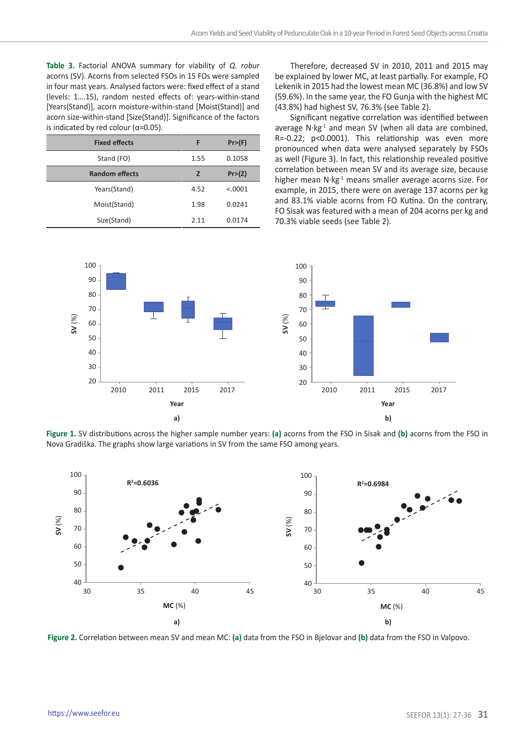**Table 3.** Factorial ANOVA summary for viability of *Q. robur* acorns (SV). Acorns from selected FSOs in 15 FOs were sampled in four mast years. Analysed factors were: fixed effect of a stand (levels: 1….15), random nested effects of: years-within-stand [Years(Stand)], acorn moisture-within-stand [Moist(Stand)] and acorn size-within-stand [Size(Stand)]. Significance of the factors is indicated by red colour ( $α=0.05$ ).

| <b>Fixed effects</b>  | F     | Pr>(F)  |  |
|-----------------------|-------|---------|--|
| Stand (FO)            | 1.55  | 0.1058  |  |
| <b>Random effects</b> | z     | Pr>(Z)  |  |
| Years(Stand)          | 4.52  | < .0001 |  |
| Moist(Stand)          | 1.98  | 0.0241  |  |
| Size(Stand)           | 2 1 1 | 0.0174  |  |

Therefore, decreased SV in 2010, 2011 and 2015 may be explained by lower MC, at least partially. For example, FO Lekenik in 2015 had the lowest mean MC (36.8%) and low SV (59.6%). In the same year, the FO Gunja with the highest MC (43.8%) had highest SV, 76.3% (see Table 2).

Significant negative correlation was identified between average  $N \cdot kg^{-1}$  and mean SV (when all data are combined, R=-0.22; p<0.0001). This relationship was even more pronounced when data were analysed separately by FSOs as well (Figure 3). In fact, this relationship revealed positive correlation between mean SV and its average size, because higher mean  $N \cdot kg^{-1}$  means smaller average acorns size. For example, in 2015, there were on average 137 acorns per kg and 83.1% viable acorns from FO Kutina. On the contrary, FO Sisak was featured with a mean of 204 acorns per kg and 70.3% viable seeds (see Table 2).



**Figure 1.** SV distributions across the higher sample number years: **(a)** acorns from the FSO in Sisak and **(b)** acorns from the FSO in Nova Gradiška. The graphs show large variations in SV from the same FSO among years.



**Figure 2.** Correlation between mean SV and mean MC: **(a)** data from the FSO in Bjelovar and **(b)** data from the FSO in Valpovo.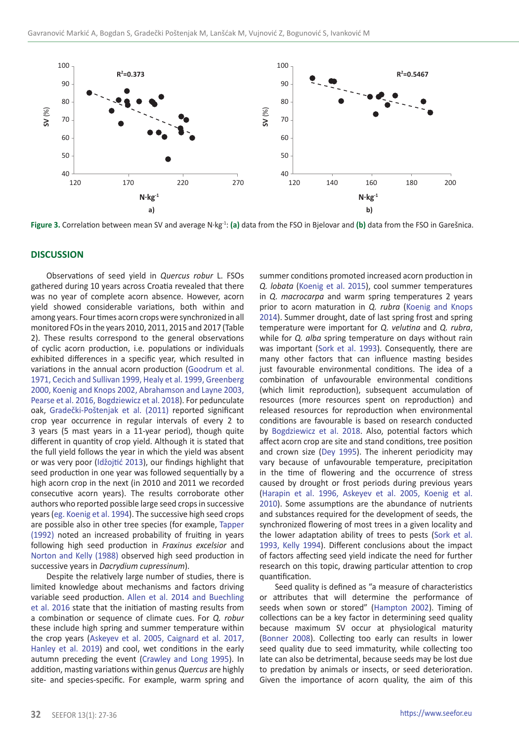

**Figure 3.** Correlation between mean SV and average N·kg-1: **(a)** data from the FSO in Bjelovar and **(b)** data from the FSO in Garešnica.

### **DISCUSSION**

Observations of seed yield in *Quercus robur* L. FSOs gathered during 10 years across Croatia revealed that there was no year of complete acorn absence. However, acorn yield showed considerable variations, both within and among years. Four times acorn crops were synchronized in all monitored FOs in the years 2010, 2011, 2015 and 2017 (Table 2). These results correspond to the general observations of cyclic acorn production, i.e. populations or individuals exhibited differences in a specific year, which resulted in variations in the annual acorn production (Goodrum et al. 1971, Cecich and Sullivan 1999, Healy et al. 1999, Greenberg 2000, Koenig and Knops 2002, Abrahamson and Layne 2003, Pearse et al. 2016, Bogdziewicz et al. 2018). For pedunculate oak, Gradečki-Poštenjak et al. (2011) reported significant crop year occurrence in regular intervals of every 2 to 3 years (5 mast years in a 11-year period), though quite different in quantity of crop yield. Although it is stated that the full yield follows the year in which the yield was absent or was very poor (Idžojtić 2013), our findings highlight that seed production in one year was followed sequentially by a high acorn crop in the next (in 2010 and 2011 we recorded consecutive acorn years). The results corroborate other authors who reported possible large seed crops in successive years (eg. Koenig et al. 1994). The successive high seed crops are possible also in other tree species (for example, Tapper (1992) noted an increased probability of fruiting in years following high seed production in *Fraxinus excelsior* and Norton and Kelly (1988) observed high seed production in successive years in *Dacrydium cupressinum*).

Despite the relatively large number of studies, there is limited knowledge about mechanisms and factors driving variable seed production. Allen et al. 2014 and Buechling et al. 2016 state that the initiation of masting results from a combination or sequence of climate cues. For *Q. robur* these include high spring and summer temperature within the crop years (Askeyev et al. 2005, Caignard et al. 2017, Hanley et al. 2019) and cool, wet conditions in the early autumn preceding the event (Crawley and Long 1995). In addition, masting variations within genus *Quercus* are highly site- and species-specific. For example, warm spring and

summer conditions promoted increased acorn production in *Q. lobata* (Koenig et al. 2015), cool summer temperatures in *Q. macrocarpa* and warm spring temperatures 2 years prior to acorn maturation in *Q. rubra* (Koenig and Knops 2014). Summer drought, date of last spring frost and spring temperature were important for *Q. velutina* and *Q. rubra*, while for *Q. alba* spring temperature on days without rain was important (Sork et al. 1993). Consequently, there are many other factors that can influence masting besides just favourable environmental conditions. The idea of a combination of unfavourable environmental conditions (which limit reproduction), subsequent accumulation of resources (more resources spent on reproduction) and released resources for reproduction when environmental conditions are favourable is based on research conducted by Bogdziewicz et al. 2018. Also, potential factors which affect acorn crop are site and stand conditions, tree position and crown size (Dey 1995). The inherent periodicity may vary because of unfavourable temperature, precipitation in the time of flowering and the occurrence of stress caused by drought or frost periods during previous years (Harapin et al. 1996, Askeyev et al. 2005, Koenig et al. 2010). Some assumptions are the abundance of nutrients and substances required for the development of seeds, the synchronized flowering of most trees in a given locality and the lower adaptation ability of trees to pests (Sork et al. 1993, Kelly 1994). Different conclusions about the impact of factors affecting seed yield indicate the need for further research on this topic, drawing particular attention to crop quantification.

Seed quality is defined as "a measure of characteristics or attributes that will determine the performance of seeds when sown or stored" (Hampton 2002). Timing of collections can be a key factor in determining seed quality because maximum SV occur at physiological maturity (Bonner 2008). Collecting too early can results in lower seed quality due to seed immaturity, while collecting too late can also be detrimental, because seeds may be lost due to predation by animals or insects, or seed deterioration. Given the importance of acorn quality, the aim of this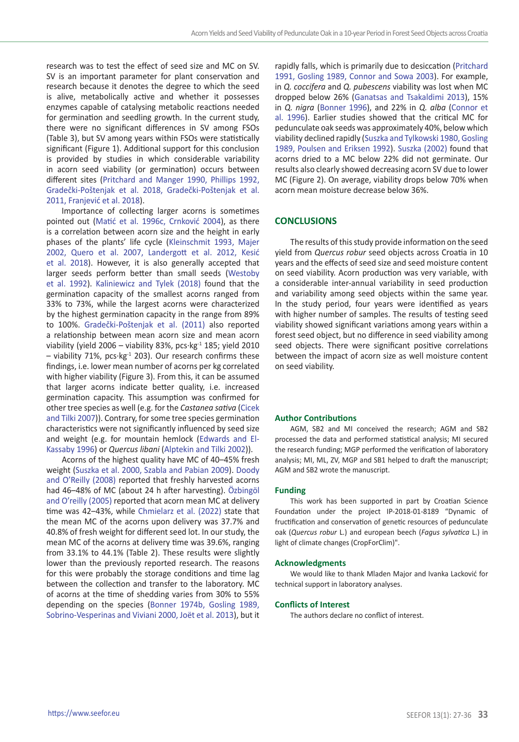research was to test the effect of seed size and MC on SV. SV is an important parameter for plant conservation and research because it denotes the degree to which the seed is alive, metabolically active and whether it possesses enzymes capable of catalysing metabolic reactions needed for germination and seedling growth. In the current study, there were no significant differences in SV among FSOs (Table 3), but SV among years within FSOs were statistically significant (Figure 1). Additional support for this conclusion is provided by studies in which considerable variability in acorn seed viability (or germination) occurs between different sites (Pritchard and Manger 1990, Phillips 1992, Gradečki-Poštenjak et al. 2018, Gradečki-Poštenjak et al. 2011, Franjević et al. 2018).

Importance of collecting larger acorns is sometimes pointed out (Matić et al. 1996c, Crnković 2004), as there is a correlation between acorn size and the height in early phases of the plants' life cycle (Kleinschmit 1993, Majer 2002, Quero et al. 2007, Landergott et al. 2012, Kesić et al. 2018). However, it is also generally accepted that larger seeds perform better than small seeds (Westoby et al. 1992). Kaliniewicz and Tylek (2018) found that the germination capacity of the smallest acorns ranged from 33% to 73%, while the largest acorns were characterized by the highest germination capacity in the range from 89% to 100%. Gradečki-Poštenjak et al. (2011) also reported a relationship between mean acorn size and mean acorn viability (yield 2006 – viability 83%, pcs $kg<sup>-1</sup>$  185; yield 2010  $-$  viability 71%, pcs $\cdot$ kg $^{-1}$  203). Our research confirms these findings, i.e. lower mean number of acorns per kg correlated with higher viability (Figure 3). From this, it can be assumed that larger acorns indicate better quality, i.e. increased germination capacity. This assumption was confirmed for other tree species as well (e.g. for the *Castanea sativa* (Cicek and Tilki 2007)). Contrary, for some tree species germination characteristics were not significantly influenced by seed size and weight (e.g. for mountain hemlock (Edwards and El-Kassaby 1996) or *Quercus libani* (Alptekin and Tilki 2002)).

Acorns of the highest quality have MC of 40–45% fresh weight (Suszka et al. 2000, Szabla and Pabian 2009). Doody and O'Reilly (2008) reported that freshly harvested acorns had 46–48% of MC (about 24 h after harvesting). Özbingöl and O'reilly (2005) reported that acorn mean MC at delivery time was 42–43%, while Chmielarz et al. (2022) state that the mean MC of the acorns upon delivery was 37.7% and 40.8% of fresh weight for different seed lot. In our study, the mean MC of the acorns at delivery time was 39.6%, ranging from 33.1% to 44.1% (Table 2). These results were slightly lower than the previously reported research. The reasons for this were probably the storage conditions and time lag between the collection and transfer to the laboratory. MC of acorns at the time of shedding varies from 30% to 55% depending on the species (Bonner 1974b, Gosling 1989, Sobrino-Vesperinas and Viviani 2000, Joët et al. 2013), but it

rapidly falls, which is primarily due to desiccation (Pritchard 1991, Gosling 1989, Connor and Sowa 2003). For example, in *Q. coccifera* and *Q. pubescens* viability was lost when MC dropped below 26% (Ganatsas and Tsakaldimi 2013), 15% in *Q. nigra* (Bonner 1996), and 22% in *Q. alba* (Connor et al. 1996). Earlier studies showed that the critical MC for pedunculate oak seeds was approximately 40%, below which viability declined rapidly (Suszka and Tylkowski 1980, Gosling 1989, Poulsen and Eriksen 1992). Suszka (2002) found that acorns dried to a MC below 22% did not germinate. Our results also clearly showed decreasing acorn SV due to lower MC (Figure 2). On average, viability drops below 70% when acorn mean moisture decrease below 36%.

# **CONCLUSIONS**

The results of this study provide information on the seed yield from *Quercus robur* seed objects across Croatia in 10 years and the effects of seed size and seed moisture content on seed viability. Acorn production was very variable, with a considerable inter-annual variability in seed production and variability among seed objects within the same year. In the study period, four years were identified as years with higher number of samples. The results of testing seed viability showed significant variations among years within a forest seed object, but no difference in seed viability among seed objects. There were significant positive correlations between the impact of acorn size as well moisture content on seed viability.

### **Author Contributions**

AGM, SB2 and MI conceived the research; AGM and SB2 processed the data and performed statistical analysis; MI secured the research funding; MGP performed the verification of laboratory analysis; MI, ML, ZV, MGP and SB1 helped to draft the manuscript; AGM and SB2 wrote the manuscript.

#### **Funding**

This work has been supported in part by Croatian Science Foundation under the project IP-2018-01-8189 "Dynamic of fructification and conservation of genetic resources of pedunculate oak (*Quercus robur* L.) and european beech (*Fagus sylvatica* L.) in light of climate changes (CropForClim)".

### **Acknowledgments**

We would like to thank Mladen Major and Ivanka Lacković for technical support in laboratory analyses.

#### **Conflicts of Interest**

The authors declare no conflict of interest.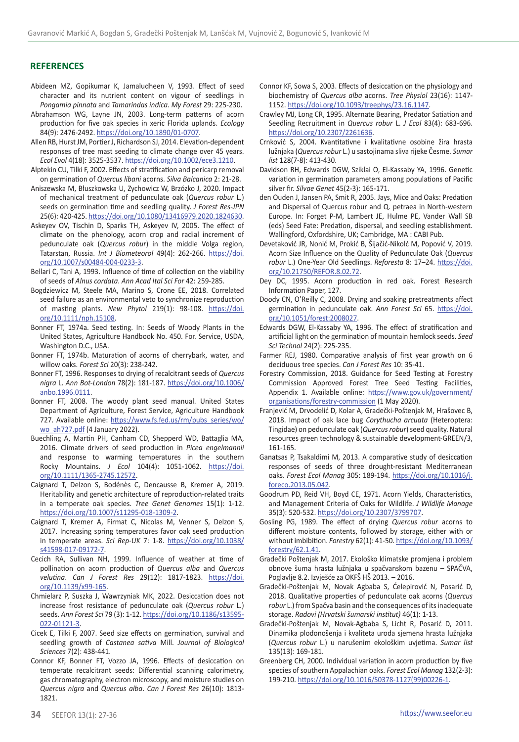### **REFERENCES**

- Abideen MZ, Gopikumar K, Jamaludheen V, 1993. Effect of seed character and its nutrient content on vigour of seedlings in *Pongamia pinnata* and *Tamarindas indica*. *My Forest* 29: 225-230.
- Abrahamson WG, Layne JN, 2003. Long-term patterns of acorn production for five oak species in xeric Florida uplands. *Ecology* 84(9): 2476-2492. <https://doi.org/10.1890/01-0707>.
- Allen RB, Hurst JM, Portier J, Richardson SJ, 2014. Elevation-dependent responses of tree mast seeding to climate change over 45 years. *Ecol Evol* 4(18): 3525-3537. <https://doi.org/10.1002/ece3.1210>.
- Alptekin CU, Tilki F, 2002. Effects of stratification and pericarp removal on germination of *Quercus libani* acorns. *Silva Balcanica* 2: 21-28.
- Aniszewska M, Błuszkowska U, Zychowicz W, Brzózko J, 2020. Impact of mechanical treatment of pedunculate oak (*Quercus robur* L.) seeds on germination time and seedling quality. *J Forest Res-JPN*  25(6): 420-425.<https://doi.org/10.1080/13416979.2020.1824630>.
- Askeyev OV, Tischin D, Sparks TH, Askeyev IV, 2005. The effect of climate on the phenology, acorn crop and radial increment of pedunculate oak (*Quercus robur*) in the middle Volga region, Tatarstan, Russia. *Int J Biometeorol* 49(4): 262-266. [https://doi.](https://doi.org/10.1007/s00484-004-0233-3) [org/10.1007/s00484-004-0233-3.](https://doi.org/10.1007/s00484-004-0233-3)
- Bellari C, Tani A, 1993. Influence of time of collection on the viability of seeds of *Alnus cordata*. *Ann Acad Ital Sci For* 42: 259-285.
- Bogdziewicz M, Steele MA, Marino S, Crone EE, 2018. Correlated seed failure as an environmental veto to synchronize reproduction of masting plants. *New Phytol* 219(1): 98-108. [https://doi.](https://doi.org/10.1111/nph.15108) [org/10.1111/nph.15108](https://doi.org/10.1111/nph.15108).
- Bonner FT, 1974a. Seed testing. In: Seeds of Woody Plants in the United States, Agriculture Handbook No. 450. For. Service, USDA, Washington D.C., USA.
- Bonner FT, 1974b. Maturation of acorns of cherrybark, water, and willow oaks. *Forest Sci* 20(3): 238-242.
- Bonner FT, 1996. Responses to drying of recalcitrant seeds of *Quercus nigra* L. *Ann Bot-London* 78(2): 181-187. [https://doi.org/10.1006/](https://doi.org/10.1006/anbo.1996.0111) [anbo.1996.0111.](https://doi.org/10.1006/anbo.1996.0111)
- Bonner FT, 2008. The woody plant seed manual. United States Department of Agriculture, Forest Service, Agriculture Handbook 727. Available online: [https://www.fs.fed.us/rm/pubs\\_series/wo/](https://www.fs.fed.us/rm/pubs_series/wo/wo_ah727.pdf) [wo\\_ah727.pdf](https://www.fs.fed.us/rm/pubs_series/wo/wo_ah727.pdf) (4 January 2022).
- Buechling A, Martin PH, Canham CD, Shepperd WD, Battaglia MA, 2016. Climate drivers of seed production in *Picea engelmannii* and response to warming temperatures in the southern Rocky Mountains. *J Ecol* 104(4): 1051-1062. [https://doi.](https://doi.org/10.1111/1365-2745.12572) [org/10.1111/1365-2745.12572.](https://doi.org/10.1111/1365-2745.12572)
- Caignard T, Delzon S, Bodénès C, Dencausse B, Kremer A, 2019. Heritability and genetic architecture of reproduction-related traits in a temperate oak species. *Tree Genet Genomes* 15(1): 1-12. <https://doi.org/10.1007/s11295-018-1309-2>.
- Caignard T, Kremer A, Firmat C, Nicolas M, Venner S, Delzon S, 2017. Increasing spring temperatures favor oak seed production in temperate areas. *Sci Rep-UK* 7: 1-8. [https://doi.org/10.1038/](https://doi.org/10.1038/s41598-017-09172-7) [s41598-017-09172-7](https://doi.org/10.1038/s41598-017-09172-7).
- Cecich RA, Sullivan NH, 1999. Influence of weather at time of pollination on acorn production of *Quercus alba* and *Quercus velutina*. *Can J Forest Res* 29(12): 1817-1823. [https://doi.](https://doi.org/10.1139/x99-165) [org/10.1139/x99-165.](https://doi.org/10.1139/x99-165)
- Chmielarz P, Suszka J, Wawrzyniak MK, 2022. Desiccation does not increase frost resistance of pedunculate oak (*Quercus robur* L.) seeds. *Ann Forest Sci* 79 (3): 1-12. [https://doi.org/10.1186/s13595-](https://doi.org/10.1186/s13595-022-01121-3) [022-01121-3](https://doi.org/10.1186/s13595-022-01121-3).
- Cicek E, Tilki F, 2007. Seed size effects on germination, survival and seedling growth of *Castanea sativa* Mill. *Journal of Biological Sciences* 7(2): 438-441.
- Connor KF, Bonner FT, Vozzo JA, 1996. Effects of desiccation on temperate recalcitrant seeds: Differential scanning calorimetry, gas chromatography, electron microscopy, and moisture studies on *Quercus nigra* and *Quercus alba*. *Can J Forest Res* 26(10): 1813- 1821.
- Crawley MJ, Long CR, 1995. Alternate Bearing, Predator Satiation and Seedling Recruitment in *Quercus robur* L. *J Ecol* 83(4): 683-696. [https://doi.org/10.2307/2261636.](https://doi.org/10.2307/2261636)
- Crnković S, 2004. Kvantitativne i kvalitativne osobine žira hrasta lužnjaka (*Quercus robur* L.) u sastojinama sliva rijeke Česme. *Sumar list* 128(7-8): 413-430.
- Davidson RH, Edwards DGW, Sziklai O, El-Kassaby YA, 1996. Genetic variation in germination parameters among populations of Pacific silver fir. *Silvae Genet* 45(2-3): 165-171.
- den Ouden J, Jansen PA, Smit R, 2005. Jays, Mice and Oaks: Predation and Dispersal of Quercus robur and Q. petraea in North-western Europe. In: Forget P-M, Lambert JE, Hulme PE, Vander Wall SB (eds) Seed Fate: Predation, dispersal, and seedling establishment. Wallingford, Oxfordshire, UK; Cambridge, MA : CABI Pub.
- Devetaković JR, Nonić M, Prokić B, Šijačić-Nikolć M, Popović V, 2019. Acorn Size Influence on the Quality of Pedunculate Oak (*Quercus robur* L.) One-Year Old Seedlings. *Reforesta* 8: 17–24. [https://doi.](https://doi.org/10.21750/REFOR.8.02.72) [org/10.21750/REFOR.8.02.72.](https://doi.org/10.21750/REFOR.8.02.72)
- Dey DC, 1995. Acorn production in red oak. Forest Research Information Paper, 127.
- Doody CN, O'Reilly C, 2008. Drying and soaking pretreatments affect germination in pedunculate oak. *Ann Forest Sci* 65. [https://doi.](https://doi.org/10.1051/forest:2008027) [org/10.1051/forest:2008027.](https://doi.org/10.1051/forest:2008027)
- Edwards DGW, El-Kassaby YA, 1996. The effect of stratification and artificial light on the germination of mountain hemlock seeds. *Seed Sci Technol* 24(2): 225-235.
- Farmer REJ, 1980. Comparative analysis of first year growth on 6 deciduous tree species. *Can J Forest Res* 10: 35-41.
- Forestry Commission, 2018. Guidance for Seed Testing at Forestry Commission Approved Forest Tree Seed Testing Facilities, Appendix 1. Available online: [https://www.gov.uk/government/](https://www.gov.uk/government/organisations/forestry-commission) [organisations/forestry-commission](https://www.gov.uk/government/organisations/forestry-commission) (1 May 2020).
- Franjević M, Drvodelić D, Kolar A, Gradečki-Poštenjak M, Hrašovec B, 2018. Impact of oak lace bug *Corythucha arcuata* (Heteroptera: Tingidae) on pedunculate oak (*Quercus robur*) seed quality. Natural resources green technology & sustainable development-GREEN/3, 161-165.
- Ganatsas P, Tsakaldimi M, 2013. A comparative study of desiccation responses of seeds of three drought-resistant Mediterranean oaks. *Forest Ecol Manag* 305: 189-194. [https://doi.org/10.1016/j.](https://doi.org/10.1016/j.foreco.2013.05.042) [foreco.2013.05.042.](https://doi.org/10.1016/j.foreco.2013.05.042)
- Goodrum PD, Reid VH, Boyd CE, 1971. Acorn Yields, Characteristics, and Management Criteria of Oaks for Wildlife. *J Wildlife Manage* 35(3): 520-532. [https://doi.org/10.2307/3799707.](https://doi.org/10.2307/3799707)
- Gosling PG, 1989. The effect of drying *Quercus robur* acorns to different moisture contents, followed by storage, either with or without imbibition. *Forestry* 62(1): 41-50. [https://doi.org/10.1093/](https://doi.org/10.1093/forestry/62.1.41) [forestry/62.1.41.](https://doi.org/10.1093/forestry/62.1.41)
- Gradečki Poštenjak M, 2017. Ekološko klimatske promjena i problem obnove šuma hrasta lužnjaka u spačvanskom bazenu – SPAČVA, Poglavlje 8.2. Izvješće za OKFŠ HŠ 2013. – 2016.
- Gradečki-Poštenjak M, Novak Agbaba S, Ćelepirović N, Posarić D, 2018. Qualitative properties of pedunculate oak acorns (*Quercus robur* L.) from Spačva basin and the consequences of its inadequate storage. *Radovi (Hrvatski šumarski institut)* 46(1): 1-13.
- Gradečki-Poštenjak M, Novak-Agbaba S, Licht R, Posarić D, 2011. Dinamika plodonošenja i kvaliteta uroda sjemena hrasta lužnjaka (*Quercus robur* L.) u narušenim ekološkim uvjetima. *Sumar list* 135(13): 169-181.
- Greenberg CH, 2000. Individual variation in acorn production by five species of southern Appalachian oaks. *Forest Ecol Manag* 132(2-3): 199-210. [https://doi.org/10.1016/S0378-1127\(99\)00226-1.](https://doi.org/10.1016/S0378-1127(99)00226-1)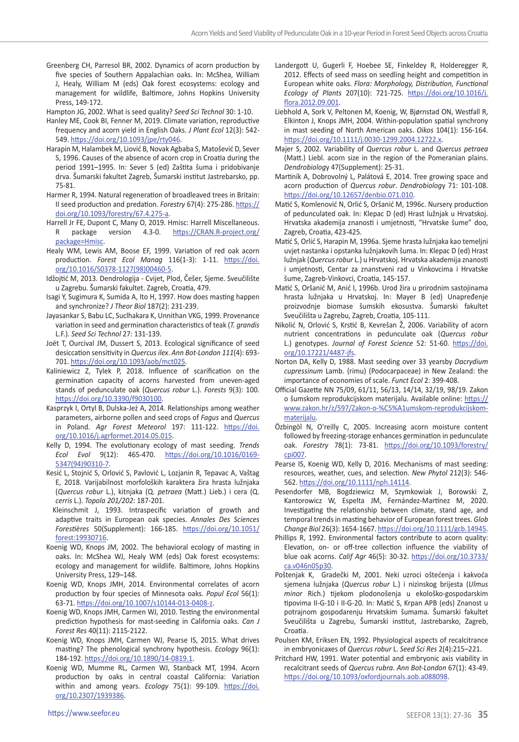Greenberg CH, Parresol BR, 2002. Dynamics of acorn production by five species of Southern Appalachian oaks. In: McShea, William J, Healy, William M (eds) Oak forest ecosystems: ecology and management for wildlife, Baltimore, Johns Hopkins University Press, 149-172.

Hampton JG, 2002. What is seed quality? *Seed Sci Technol* 30: 1-10.

- Hanley ME, Cook BI, Fenner M, 2019. Climate variation, reproductive frequency and acorn yield in English Oaks. *J Plant Ecol* 12(3): 542- 549. <https://doi.org/10.1093/jpe/rty046>.
- Harapin M, Halambek M, Liović B, Novak Agbaba S, Matošević D, Sever S, 1996. Causes of the absence of acorn crop in Croatia during the period 1991–1995. In: Sever S (ed) Zaštita šuma i pridobivanje drva. Šumarski fakultet Zagreb, Šumarski institut Jastrebarsko, pp. 75-81.
- Harmer R, 1994. Natural regeneration of broadleaved trees in Britain: II seed production and predation. *Forestry* 67(4): 275-286. [https://](https://doi.org/10.1093/forestry/67.4.275-a) [doi.org/10.1093/forestry/67.4.275-a.](https://doi.org/10.1093/forestry/67.4.275-a)
- Harrell Jr FE, Dupont C, Many O, 2019. Hmisc: Harrell Miscellaneous.<br>R package version 4.3-0. https://CRAN.R-project.org/ package version 4.3-0. [https://CRAN.R-project.org/](https://CRAN.R-project.org/package=Hmisc) [package=Hmisc.](https://CRAN.R-project.org/package=Hmisc)
- Healy WM, Lewis AM, Boose EF, 1999. Variation of red oak acorn production. *Forest Ecol Manag* 116(1-3): 1-11. [https://doi.](https://doi.org/10.1016/S0378-1127(98)00460-5) [org/10.1016/S0378-1127\(98\)00460-5](https://doi.org/10.1016/S0378-1127(98)00460-5).
- Idžojtić M, 2013. Dendrologija Cvijet, Plod, Češer, Sjeme. Sveučilište u Zagrebu. Šumarski fakultet. Zagreb, Croatia, 479.
- Isagi Y, Sugimura K, Sumida A, Ito H, 1997. How does masting happen and synchronize? *J Theor Biol* 187(2): 231-239.
- Jayasankar S, Babu LC, Suclhakara K, Unnithan VKG, 1999. Provenance variation in seed and germination characteristics of teak (*T. grandis* L.F.). *Seed Sci Technol* 27: 131-139.
- Joët T, Ourcival JM, Dussert S, 2013. Ecological significance of seed desiccation sensitivity in *Quercus ilex*. *Ann Bot-London 111*(4): 693- 701. [https://doi.org/10.1093/aob/mct025.](https://doi.org/10.1093/aob/mct025)
- Kaliniewicz Z, Tylek P, 2018. Influence of scarification on the germination capacity of acorns harvested from uneven-aged stands of pedunculate oak (*Quercus robur* L.). *Forests* 9(3): 100. <https://doi.org/10.3390/f9030100>.
- Kasprzyk I, Ortyl B, Dulska-Jeż A, 2014. Relationships among weather parameters, airborne pollen and seed crops of *Fagus* and *Quercus* in Poland. *Agr Forest Meteorol* 197: 111-122. [https://doi.](https://doi.org/10.1016/j.agrformet.2014.05.015) [org/10.1016/j.agrformet.2014.05.015.](https://doi.org/10.1016/j.agrformet.2014.05.015)
- Kelly D, 1994. The evolutionary ecology of mast seeding. *Trends Ecol Evol* 9(12): 465-470. [https://doi.org/10.1016/0169-](https://doi.org/10.1016/0169-5347(94)90310-7) [5347\(94\)90310-7.](https://doi.org/10.1016/0169-5347(94)90310-7)
- Kesić L, Stojnić S, Orlović S, Pavlović L, Lozjanin R, Tepavac A, Vaštag E, 2018. Varijabilnost morfoloških karaktera žira hrasta lužnjaka (*Quercus robur* L.), kitnjaka (Q. *petraea* (Matt.) Lieb.) i cera (Q. *cerris* L.). *Topola 201/202*: 187-201.
- Kleinschmit J, 1993. Intraspecific variation of growth and adaptive traits in European oak species. *Annales Des Sciences Forestières* 50(Supplement): 166-185. [https://doi.org/10.1051/](https://doi.org/10.1051/forest:19930716) [forest:19930716.](https://doi.org/10.1051/forest:19930716)
- Koenig WD, Knops JM, 2002. The behavioral ecology of masting in oaks. In: McShea WJ, Healy WM (eds) Oak forest ecosystems: ecology and management for wildlife. Baltimore, Johns Hopkins University Press, 129–148.
- Koenig WD, Knops JMH, 2014. Environmental correlates of acorn production by four species of Minnesota oaks. *Popul Ecol* 56(1): 63-71. <https://doi.org/10.1007/s10144-013-0408-z>.
- Koenig WD, Knops JMH, Carmen WJ, 2010. Testing the environmental prediction hypothesis for mast-seeding in California oaks. *Can J Forest Res* 40(11): 2115-2122.
- Koenig WD, Knops JMH, Carmen WJ, Pearse IS, 2015. What drives masting? The phenological synchrony hypothesis. *Ecology* 96(1): 184-192. [https://doi.org/10.1890/14-0819.1.](https://doi.org/10.1890/14-0819.1)
- Koenig WD, Mumme RL, Carmen WJ, Stanback MT, 1994. Acorn production by oaks in central coastal California: Variation within and among years. *Ecology* 75(1): 99-109. https://doi. org/10.2307/1939386.
- Landergott U, Gugerli F, Hoebee SE, Finkeldey R, Holderegger R, 2012. Effects of seed mass on seedling height and competition in European white oaks. *Flora: Morphology, Distribution, Functional Ecology of Plants* 207(10): 721-725. [https://doi.org/10.1016/j.](https://doi.org/10.1016/j.flora.2012.09.001) [flora.2012.09.001.](https://doi.org/10.1016/j.flora.2012.09.001)
- Liebhold A, Sork V, Peltonen M, Koenig, W, Bjørnstad ON, Westfall R, Elkinton J, Knops JMH, 2004. Within-population spatial synchrony in mast seeding of North American oaks. *Oikos* 104(1): 156-164. <https://doi.org/10.1111/j.0030-1299.2004.12722.x>.
- Majer S, 2002. Variability of *Quercus robur* L. and *Quercus petraea* (Matt.) Liebl. acorn size in the region of the Pomeranian plains. *Dendrobiolog*y 47(Supplement): 25-31.
- Martiník A, Dobrovolný L, Palátová E, 2014. Tree growing space and acorn production of *Quercus robur*. *Dendrobiolog*y 71: 101-108. <https://doi.org/10.12657/denbio.071.010>.
- Matić S, Komlenović N, Orlić S, Oršanić M, 1996c. Nursery production of pedunculated oak. In: Klepac D (ed) Hrast lužnjak u Hrvatskoj. Hrvatska akademija znanosti i umjetnosti, "Hrvatske šume" doo, Zagreb, Croatia, 423-425.
- Matić S, Orlić S, Harapin M, 1996a. Sjeme hrasta lužnjaka kao temeljni uvjet nastanka i opstanka lužnjakovih šuma. In: Klepac D (ed) Hrast lužnjak (*Quercus robur* L.) u Hrvatskoj. Hrvatska akademija znanosti i umjetnosti, Centar za znanstveni rad u Vinkovcima i Hrvatske šume, Zagreb-Vinkovci, Croatia, 145-157.
- Matić S, Oršanić M, Anić I, 1996b. Urod žira u prirodnim sastojinama hrasta lužnjaka u Hrvatskoj. In: Mayer B (ed) Unapređenje proizvodnje biomase šumskih ekosustva. Šumarski fakultet Sveučilišta u Zagrebu, Zagreb, Croatia, 105-111.
- Nikolić N, Orlović S, Krstić B, Kevrešan Ž, 2006. Variability of acorn nutrient concentrations in pedunculate oak (*Quercus robur* L.) genotypes. *Journal of Forest Science* 52: 51-60. [https://doi.](https://doi.org/10.17221/4487-jfs) [org/10.17221/4487-jfs.](https://doi.org/10.17221/4487-jfs)
- Norton DA, Kelly D, 1988. Mast seeding over 33 yearsby *Dacrydium cupressinum* Lamb. (rimu) (Podocarpaceae) in New Zealand: the importance of economies of scale. *Funct Ecol* 2: 399-408.
- Official Gazette NN 75/09, 61/11, 56/13, 14/14, 32/19, 98/19. Zakon o šumskom reprodukcijskom materijalu. Available online: [https://](https://www.zakon.hr/z/597/Zakon-o-%C5%A1umskom-reprodukcijskom-materijalu) [www.zakon.hr/z/597/Zakon-o-%C5%A1umskom-reprodukcijskom](https://www.zakon.hr/z/597/Zakon-o-%C5%A1umskom-reprodukcijskom-materijalu)[materijalu.](https://www.zakon.hr/z/597/Zakon-o-%C5%A1umskom-reprodukcijskom-materijalu)
- Özbingöl N, O'reilly C, 2005. Increasing acorn moisture content followed by freezing-storage enhances germination in pedunculate oak. *Forestry* 78(1): 73-81. [https://doi.org/10.1093/forestry/](https://doi.org/10.1093/forestry/cpi007) [cpi007.](https://doi.org/10.1093/forestry/cpi007)
- Pearse IS, Koenig WD, Kelly D, 2016. Mechanisms of mast seeding: resources, weather, cues, and selection. *New Phytol* 212(3): 546- 562. <https://doi.org/10.1111/nph.14114>.
- Pesendorfer MB, Bogdziewicz M, Szymkowiak J, Borowski Z, Kantorowicz W, Espelta JM, Fernández‐Martínez M, 2020. Investigating the relationship between climate, stand age, and temporal trends in masting behavior of European forest trees. *Glob Change Biol* 26(3): 1654-1667. <https://doi.org/10.1111/gcb.14945>.
- Phillips R, 1992. Environmental factors contribute to acorn quality: Elevation, on- or off-tree collection influence the viability of blue oak acorns. *Calif Agr* 46(5): 30-32. [https://doi.org/10.3733/](https://doi.org/10.3733/ca.v046n05p30) [ca.v046n05p30.](https://doi.org/10.3733/ca.v046n05p30)
- Poštenjak K, Gradečki M, 2001. Neki uzroci oštećenja i kakvoća sjemena lužnjaka (*Quercus robur* L.) i nizinskog brijesta (*Ulmus minor* Rich.) tijekom plodonošenja u ekološko-gospodarskim tipovima II-G-10 i II-G-20. In: Matić S, Krpan APB (eds) Znanost u potrajnom gospodarenju Hrvatskim šumama. Šumarski fakultet Sveučilišta u Zagrebu, Šumarski institut, Jastrebarsko, Zagreb, Croatia.
- Poulsen KM, Eriksen EN, 1992. Physiological aspects of recalcitrance in embryonicaxes of *Quercus robur* L. *Seed Sci Res* 2(4):215–221.
- Pritchard HW, 1991. Water potential and embryonic axis viability in recalcitrant seeds of *Quercus rubra*. *Ann Bot-London* 67(1): 43-49. [https://doi.org/10.1093/oxfordjournals.aob.a088098.](https://doi.org/10.1093/oxfordjournals.aob.a088098)